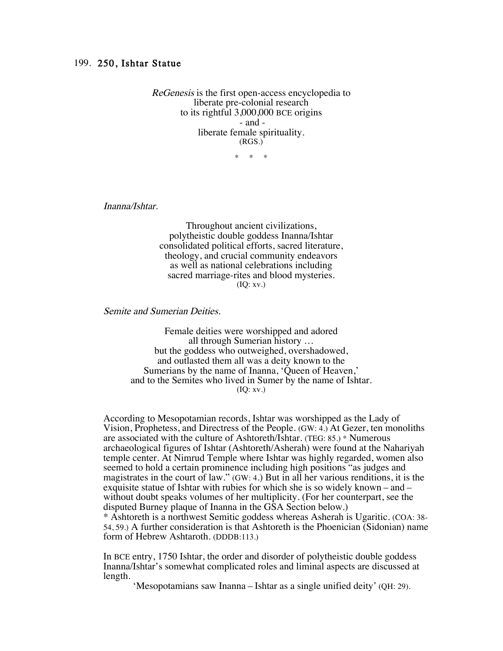ReGenesis is the first open-access encyclopedia to liberate pre-colonial research to its rightful 3,000,000 BCE origins - and liberate female spirituality. (RGS.)

 $*$  \*

Inanna/Ishtar.

Throughout ancient civilizations, polytheistic double goddess Inanna/Ishtar consolidated political efforts, sacred literature, theology, and crucial community endeavors as well as national celebrations including sacred marriage-rites and blood mysteries. (IQ: xv.)

Semite and Sumerian Deities.

Female deities were worshipped and adored all through Sumerian history … but the goddess who outweighed, overshadowed, and outlasted them all was a deity known to the Sumerians by the name of Inanna, 'Queen of Heaven,' and to the Semites who lived in Sumer by the name of Ishtar. (IQ: xv.)

According to Mesopotamian records, Ishtar was worshipped as the Lady of Vision, Prophetess, and Directress of the People. (GW: 4.) At Gezer, ten monoliths are associated with the culture of Ashtoreth/Ishtar. (TEG: 85.) \* Numerous archaeological figures of Ishtar (Ashtoreth/Asherah) were found at the Nahariyah temple center. At Nimrud Temple where Ishtar was highly regarded, women also seemed to hold a certain prominence including high positions "as judges and magistrates in the court of law." (GW: 4.) But in all her various renditions, it is the exquisite statue of Ishtar with rubies for which she is so widely known – and – without doubt speaks volumes of her multiplicity. (For her counterpart, see the disputed Burney plaque of Inanna in the GSA Section below.)

\* Ashtoreth is a northwest Semitic goddess whereas Asherah is Ugaritic. (COA: 38- 54, 59.) A further consideration is that Ashtoreth is the Phoenician (Sidonian) name form of Hebrew Ashtaroth. (DDDB:113.)

In BCE entry, 1750 Ishtar, the order and disorder of polytheistic double goddess Inanna/Ishtar's somewhat complicated roles and liminal aspects are discussed at length.

'Mesopotamians saw Inanna – Ishtar as a single unified deity' (QH: 29).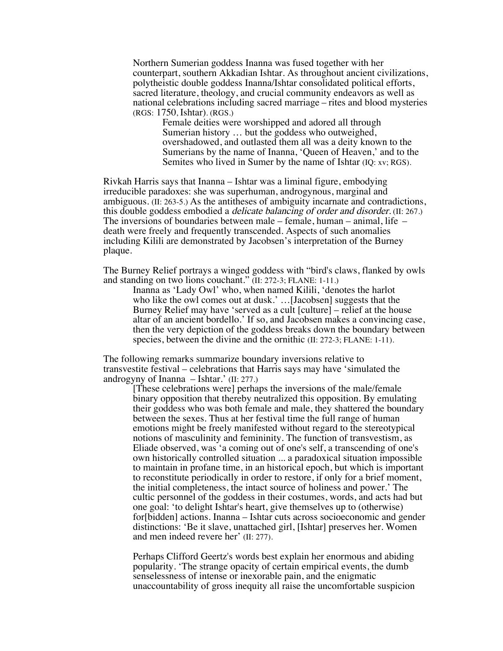Northern Sumerian goddess Inanna was fused together with her counterpart, southern Akkadian Ishtar. As throughout ancient civilizations, polytheistic double goddess Inanna/Ishtar consolidated political efforts, sacred literature, theology, and crucial community endeavors as well as national celebrations including sacred marriage – rites and blood mysteries (RGS: 1750, Ishtar). (RGS.)

Female deities were worshipped and adored all through Sumerian history … but the goddess who outweighed, overshadowed, and outlasted them all was a deity known to the Sumerians by the name of Inanna, 'Queen of Heaven,' and to the Semites who lived in Sumer by the name of Ishtar (IQ: xv; RGS).

Rivkah Harris says that Inanna – Ishtar was a liminal figure, embodying irreducible paradoxes: she was superhuman, androgynous, marginal and ambiguous. (II: 263-5.) As the antitheses of ambiguity incarnate and contradictions, this double goddess embodied a delicate balancing of order and disorder. (II: 267.) The inversions of boundaries between male – female, human – animal, life – death were freely and frequently transcended. Aspects of such anomalies including Kilili are demonstrated by Jacobsen's interpretation of the Burney plaque.

The Burney Relief portrays a winged goddess with "bird's claws, flanked by owls and standing on two lions couchant." (II: 272-3; FLANE: 1-11.)

Inanna as 'Lady Owl' who, when named Kilili, 'denotes the harlot who like the owl comes out at dusk.' …[Jacobsen] suggests that the Burney Relief may have 'served as a cult [culture] – relief at the house altar of an ancient bordello.' If so, and Jacobsen makes a convincing case, then the very depiction of the goddess breaks down the boundary between species, between the divine and the ornithic (II: 272-3; FLANE: 1-11).

The following remarks summarize boundary inversions relative to transvestite festival – celebrations that Harris says may have 'simulated the androgyny of Inanna – Ishtar.' (II: 277.)

> [These celebrations were] perhaps the inversions of the male/female binary opposition that thereby neutralized this opposition. By emulating their goddess who was both female and male, they shattered the boundary between the sexes. Thus at her festival time the full range of human emotions might be freely manifested without regard to the stereotypical notions of masculinity and femininity. The function of transvestism, as Eliade observed, was 'a coming out of one's self, a transcending of one's own historically controlled situation ... a paradoxical situation impossible to maintain in profane time, in an historical epoch, but which is important to reconstitute periodically in order to restore, if only for a brief moment, the initial completeness, the intact source of holiness and power.' The cultic personnel of the goddess in their costumes, words, and acts had but one goal: 'to delight Ishtar's heart, give themselves up to (otherwise) for[bidden] actions. Inanna – Ishtar cuts across socioeconomic and gender distinctions: 'Be it slave, unattached girl, [Ishtar] preserves her. Women and men indeed revere her' (II: 277).

Perhaps Clifford Geertz's words best explain her enormous and abiding popularity. 'The strange opacity of certain empirical events, the dumb senselessness of intense or inexorable pain, and the enigmatic unaccountability of gross inequity all raise the uncomfortable suspicion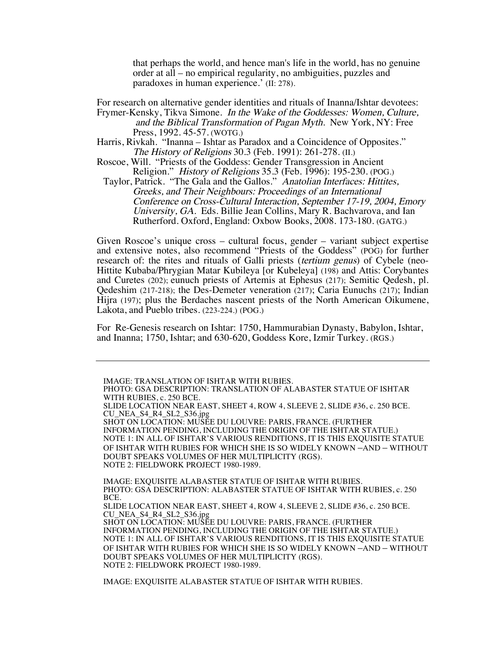that perhaps the world, and hence man's life in the world, has no genuine order at all – no empirical regularity, no ambiguities, puzzles and paradoxes in human experience.' (II: 278).

For research on alternative gender identities and rituals of Inanna/Ishtar devotees: Frymer-Kensky, Tikva Simone. In the Wake of the Goddesses: Women, Culture, and the Biblical Transformation of Pagan Myth. New York, NY: Free

Press, 1992. 45-57. (WOTG.)

- Harris, Rivkah. "Inanna Ishtar as Paradox and a Coincidence of Opposites." The History of Religions 30.3 (Feb. 1991): 261-278. (II.)
- Roscoe, Will. "Priests of the Goddess: Gender Transgression in Ancient Religion." History of Religions 35.3 (Feb. 1996): 195-230. (POG.)

Taylor, Patrick. "The Gala and the Gallos." Anatolian Interfaces: Hittites, Greeks, and Their Neighbours: Proceedings of an International Conference on Cross-Cultural Interaction, September 17-19, 2004, Emory University, GA. Eds. Billie Jean Collins, Mary R. Bachvarova, and Ian Rutherford. Oxford, England: Oxbow Books, 2008. 173-180. (GATG.)

Given Roscoe's unique cross – cultural focus, gender – variant subject expertise and extensive notes, also recommend "Priests of the Goddess" (POG) for further research of: the rites and rituals of Galli priests (tertium genus) of Cybele (neo-Hittite Kubaba/Phrygian Matar Kubileya [or Kubeleya] (198) and Attis: Corybantes and Curetes (202); eunuch priests of Artemis at Ephesus (217); Semitic Qedesh, pl. Qedeshim (217-218); the Des-Demeter veneration (217); Caria Eunuchs (217); Indian Hijra (197); plus the Berdaches nascent priests of the North American Oikumene, Lakota, and Pueblo tribes. (223-224.) (POG.)

For Re-Genesis research on Ishtar: 1750, Hammurabian Dynasty, Babylon, Ishtar, and Inanna; 1750, Ishtar; and 630-620, Goddess Kore, Izmir Turkey. (RGS.)

IMAGE: TRANSLATION OF ISHTAR WITH RUBIES. PHOTO: GSA DESCRIPTION: TRANSLATION OF ALABASTER STATUE OF ISHTAR WITH RUBIES, c. 250 BCE. SLIDE LOCATION NEAR EAST, SHEET 4, ROW 4, SLEEVE 2, SLIDE #36, c. 250 BCE. CU\_NEA\_S4\_R4\_SL2\_S36.jpg SHOT ON LOCATION: MUSÉE DU LOUVRE: PARIS, FRANCE. (FURTHER INFORMATION PENDING, INCLUDING THE ORIGIN OF THE ISHTAR STATUE.) NOTE 1: IN ALL OF ISHTAR'S VARIOUS RENDITIONS, IT IS THIS EXQUISITE STATUE OF ISHTAR WITH RUBIES FOR WHICH SHE IS SO WIDELY KNOWN –AND – WITHOUT DOUBT SPEAKS VOLUMES OF HER MULTIPLICITY (RGS). NOTE 2: FIELDWORK PROJECT 1980-1989. IMAGE: EXQUISITE ALABASTER STATUE OF ISHTAR WITH RUBIES. PHOTO: GSA DESCRIPTION: ALABASTER STATUE OF ISHTAR WITH RUBIES, c. 250 BCE. SLIDE LOCATION NEAR EAST, SHEET 4, ROW 4, SLEEVE 2, SLIDE #36, c. 250 BCE. CU\_NEA\_S4\_R4\_SL2\_S36.jpg SHOT ON LOCATION: MUSÉE DU LOUVRE: PARIS, FRANCE. (FURTHER INFORMATION PENDING, INCLUDING THE ORIGIN OF THE ISHTAR STATUE.) NOTE 1: IN ALL OF ISHTAR'S VARIOUS RENDITIONS, IT IS THIS EXQUISITE STATUE OF ISHTAR WITH RUBIES FOR WHICH SHE IS SO WIDELY KNOWN –AND – WITHOUT

IMAGE: EXQUISITE ALABASTER STATUE OF ISHTAR WITH RUBIES.

DOUBT SPEAKS VOLUMES OF HER MULTIPLICITY (RGS).

NOTE 2: FIELDWORK PROJECT 1980-1989.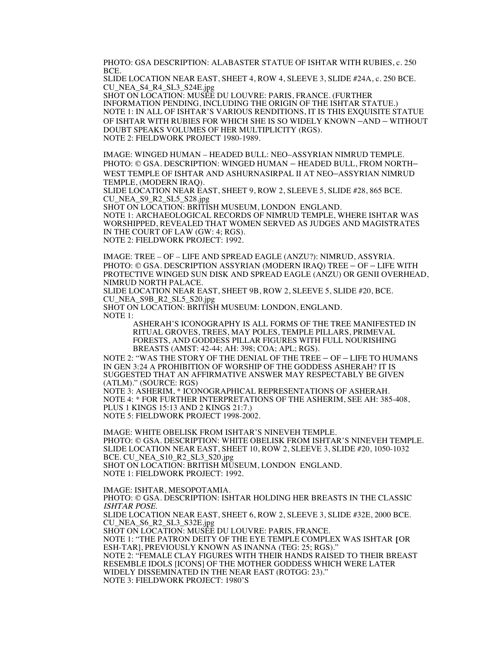PHOTO: GSA DESCRIPTION: ALABASTER STATUE OF ISHTAR WITH RUBIES, c. 250 BCE.

SLIDE LOCATION NEAR EAST, SHEET 4, ROW 4, SLEEVE 3, SLIDE #24A, c. 250 BCE. CU\_NEA\_S4\_R4\_SL3\_S24E.jpg

SHOT ON LOCATION: MUSÉE DU LOUVRE: PARIS, FRANCE. (FURTHER INFORMATION PENDING, INCLUDING THE ORIGIN OF THE ISHTAR STATUE.) NOTE 1: IN ALL OF ISHTAR'S VARIOUS RENDITIONS, IT IS THIS EXQUISITE STATUE OF ISHTAR WITH RUBIES FOR WHICH SHE IS SO WIDELY KNOWN –AND – WITHOUT DOUBT SPEAKS VOLUMES OF HER MULTIPLICITY (RGS). NOTE 2: FIELDWORK PROJECT 1980-1989.

IMAGE: WINGED HUMAN – HEADED BULL: NEO–ASSYRIAN NIMRUD TEMPLE. PHOTO: © GSA. DESCRIPTION: WINGED HUMAN – HEADED BULL, FROM NORTH– WEST TEMPLE OF ISHTAR AND ASHURNASIRPAL II AT NEO–ASSYRIAN NIMRUD TEMPLE, (MODERN IRAQ).

SLIDE LOCATION NEAR EAST, SHEET 9, ROW 2, SLEEVE 5, SLIDE #28, 865 BCE. CU\_NEA\_S9\_R2\_SL5\_S28.jpg

SHOT ON LOCATION: BRITISH MUSEUM, LONDON ENGLAND.

NOTE 1: ARCHAEOLOGICAL RECORDS OF NIMRUD TEMPLE, WHERE ISHTAR WAS WORSHIPPED, REVEALED THAT WOMEN SERVED AS JUDGES AND MAGISTRATES IN THE COURT OF LAW (GW: 4; RGS). NOTE 2: FIELDWORK PROJECT: 1992.

IMAGE: TREE – OF – LIFE AND SPREAD EAGLE (ANZU?): NIMRUD, ASSYRIA. PHOTO: © GSA. DESCRIPTION ASSYRIAN (MODERN IRAQ) TREE – OF – LIFE WITH PROTECTIVE WINGED SUN DISK AND SPREAD EAGLE (ANZU) OR GENII OVERHEAD, NIMRUD NORTH PALACE.

SLIDE LOCATION NEAR EAST, SHEET 9B, ROW 2, SLEEVE 5, SLIDE #20, BCE. CU\_NEA\_S9B\_R2\_SL5\_S20.jpg

SHOT ON LOCATION: BRITISH MUSEUM: LONDON, ENGLAND. NOTE 1:

> ASHERAH'S ICONOGRAPHY IS ALL FORMS OF THE TREE MANIFESTED IN RITUAL GROVES, TREES, MAY POLES, TEMPLE PILLARS, PRIMEVAL FORESTS, AND GODDESS PILLAR FIGURES WITH FULL NOURISHING BREASTS (AMST: 42-44; AH: 398; COA; APL; RGS).

NOTE 2: "WAS THE STORY OF THE DENIAL OF THE TREE – OF – LIFE TO HUMANS IN GEN 3:24 A PROHIBITION OF WORSHIP OF THE GODDESS ASHERAH? IT IS SUGGESTED THAT AN AFFIRMATIVE ANSWER MAY RESPECTABLY BE GIVEN (ATLM)." (SOURCE: RGS)

NOTE 3: ASHERIM, \* ICONOGRAPHICAL REPRESENTATIONS OF ASHERAH. NOTE 4: \* FOR FURTHER INTERPRETATIONS OF THE ASHERIM, SEE AH: 385-408, PLUS 1 KINGS 15:13 AND 2 KINGS 21:7.) NOTE 5: FIELDWORK PROJECT 1998-2002.

IMAGE: WHITE OBELISK FROM ISHTAR'S NINEVEH TEMPLE. PHOTO: © GSA. DESCRIPTION: WHITE OBELISK FROM ISHTAR'S NINEVEH TEMPLE. SLIDE LOCATION NEAR EAST, SHEET 10, ROW 2, SLEEVE 3, SLIDE #20, 1050-1032 BCE. CU\_NEA\_S10\_R2\_SL3\_S20.jpg SHOT ON LOCATION: BRITISH MUSEUM, LONDON ENGLAND. NOTE 1: FIELDWORK PROJECT: 1992.

IMAGE: ISHTAR, MESOPOTAMIA. PHOTO: © GSA. DESCRIPTION: ISHTAR HOLDING HER BREASTS IN THE CLASSIC ISHTAR POSE. SLIDE LOCATION NEAR EAST, SHEET 6, ROW 2, SLEEVE 3, SLIDE #32E, 2000 BCE. CU\_NEA\_S6\_R2\_SL3\_S32E.jpg SHOT ON LOCATION: MUSÉE DU LOUVRE: PARIS, FRANCE. NOTE 1: "THE PATRON DEITY OF THE EYE TEMPLE COMPLEX WAS ISHTAR [OR ESH-TAR], PREVIOUSLY KNOWN AS INANNA (TEG: 25; RGS)." NOTE 2: "FEMALE CLAY FIGURES WITH THEIR HANDS RAISED TO THEIR BREAST RESEMBLE IDOLS [ICONS] OF THE MOTHER GODDESS WHICH WERE LATER WIDELY DISSEMINATED IN THE NEAR EAST (ROTGG: 23)." NOTE 3: FIELDWORK PROJECT: 1980'S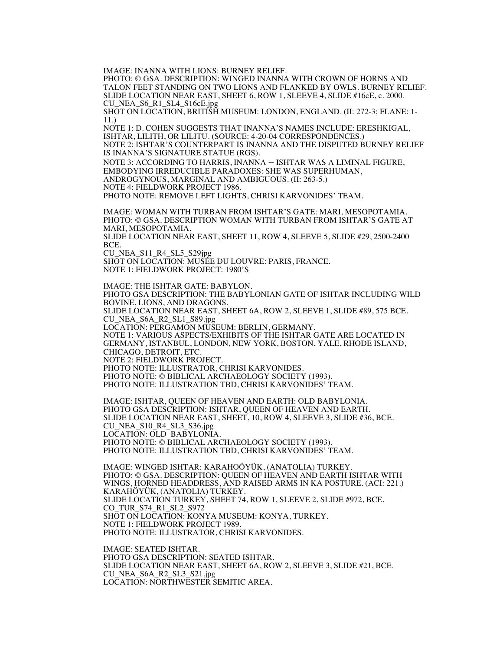IMAGE: INANNA WITH LIONS: BURNEY RELIEF.

PHOTO: © GSA. DESCRIPTION: WINGED INANNA WITH CROWN OF HORNS AND TALON FEET STANDING ON TWO LIONS AND FLANKED BY OWLS. BURNEY RELIEF. SLIDE LOCATION NEAR EAST, SHEET 6, ROW 1, SLEEVE 4, SLIDE #16cE, c. 2000. CU\_NEA\_S6\_R1\_SL4\_S16cE.jpg

SHOT ON LOCATION, BRITISH MUSEUM: LONDON, ENGLAND. (II: 272-3; FLANE: 1- 11.)

NOTE 1: D. COHEN SUGGESTS THAT INANNA'S NAMES INCLUDE: ERESHKIGAL, ISHTAR, LILITH, OR LILITU. (SOURCE: 4-20-04 CORRESPONDENCES.) NOTE 2: ISHTAR'S COUNTERPART IS INANNA AND THE DISPUTED BURNEY RELIEF IS INANNA'S SIGNATURE STATUE (RGS).

NOTE 3: ACCORDING TO HARRIS, INANNA – ISHTAR WAS A LIMINAL FIGURE, EMBODYING IRREDUCIBLE PARADOXES: SHE WAS SUPERHUMAN, ANDROGYNOUS, MARGINAL AND AMBIGUOUS. (II: 263-5.) NOTE 4: FIELDWORK PROJECT 1986. PHOTO NOTE: REMOVE LEFT LIGHTS, CHRISI KARVONIDES' TEAM.

IMAGE: WOMAN WITH TURBAN FROM ISHTAR'S GATE: MARI, MESOPOTAMIA. PHOTO: © GSA. DESCRIPTION WOMAN WITH TURBAN FROM ISHTAR'S GATE AT MARI, MESOPOTAMIA.

SLIDE LOCATION NEAR EAST, SHEET 11, ROW 4, SLEEVE 5, SLIDE #29, 2500-2400 BCE.

CU\_NEA\_S11\_R4\_SL5\_S29jpg

SHOT ON LOCATION: MUSÉE DU LOUVRE: PARIS, FRANCE. NOTE 1: FIELDWORK PROJECT: 1980'S

IMAGE: THE ISHTAR GATE: BABYLON. PHOTO GSA DESCRIPTION: THE BABYLONIAN GATE OF ISHTAR INCLUDING WILD BOVINE, LIONS, AND DRAGONS. SLIDE LOCATION NEAR EAST, SHEET 6A, ROW 2, SLEEVE 1, SLIDE #89, 575 BCE. CU\_NEA\_S6A\_R2\_SL1\_S89.jpg LOCATION: PERGAMON MUSEUM: BERLIN, GERMANY. NOTE 1: VARIOUS ASPECTS/EXHIBITS OF THE ISHTAR GATE ARE LOCATED IN GERMANY, ISTANBUL, LONDON, NEW YORK, BOSTON, YALE, RHODE ISLAND, CHICAGO, DETROIT, ETC. NOTE 2: FIELDWORK PROJECT. PHOTO NOTE: ILLUSTRATOR, CHRISI KARVONIDES. PHOTO NOTE: © BIBLICAL ARCHAEOLOGY SOCIETY (1993). PHOTO NOTE: ILLUSTRATION TBD, CHRISI KARVONIDES' TEAM.

IMAGE: ISHTAR, QUEEN OF HEAVEN AND EARTH: OLD BABYLONIA. PHOTO GSA DESCRIPTION: ISHTAR, QUEEN OF HEAVEN AND EARTH. SLIDE LOCATION NEAR EAST, SHEET, 10, ROW 4, SLEEVE 3, SLIDE #36, BCE. CU\_NEA\_S10\_R4\_SL3\_S36.jpg LOCATION: OLD BABYLONIA. PHOTO NOTE: © BIBLICAL ARCHAEOLOGY SOCIETY (1993). PHOTO NOTE: ILLUSTRATION TBD, CHRISI KARVONIDES' TEAM.

IMAGE: WINGED ISHTAR: KARAHOÖYÜK, (ANATOLIA) TURKEY. PHOTO: © GSA. DESCRIPTION: QUEEN OF HEAVEN AND EARTH ISHTAR WITH WINGS, HORNED HEADDRESS, AND RAISED ARMS IN KA POSTURE. (ACI: 221.) KARAHÖYÜK, (ANATOLIA) TURKEY. SLIDE LOCATION TURKEY, SHEET 74, ROW 1, SLEEVE 2, SLIDE #972, BCE. CO\_TUR\_S74\_R1\_SL2\_S972 SHOT ON LOCATION: KONYA MUSEUM: KONYA, TURKEY. NOTE 1: FIELDWORK PROJECT 1989. PHOTO NOTE: ILLUSTRATOR, CHRISI KARVONIDES.

IMAGE: SEATED ISHTAR. PHOTO GSA DESCRIPTION: SEATED ISHTAR. SLIDE LOCATION NEAR EAST, SHEET 6A, ROW 2, SLEEVE 3, SLIDE #21, BCE. CU\_NEA\_S6A\_R2\_SL3\_S21.jpg LOCATION: NORTHWESTER SEMITIC AREA.